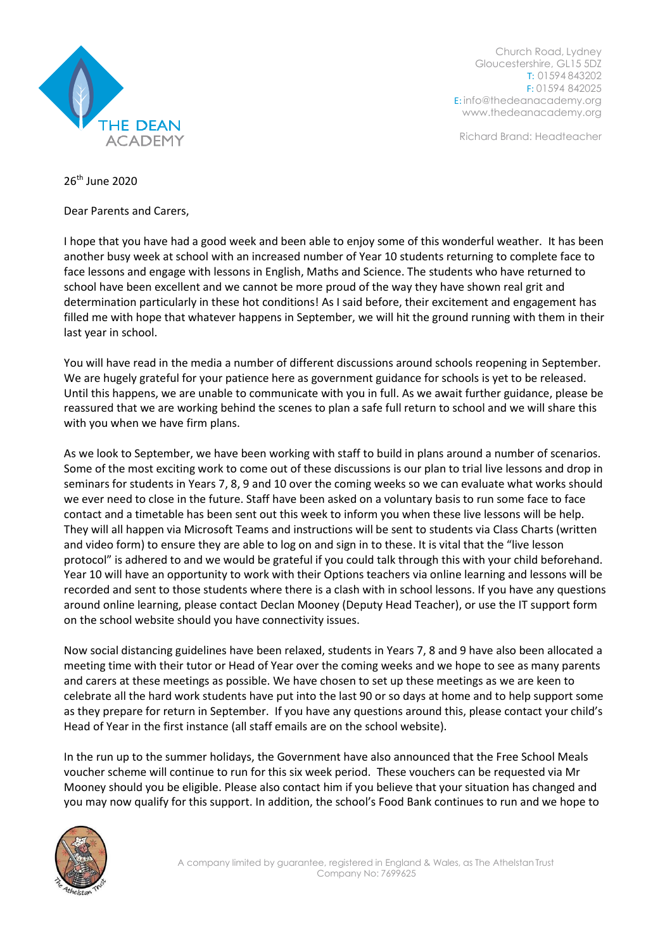

Church Road, Lydney Gloucestershire, GL15 5DZ T: 01594 843202 F: 01594 842025 E: [info@thedeanacademy.org](mailto:info@thedeanacademy.org) [www.thedeanacademy.org](http://www.thedeanacademy.org/)

Richard Brand: Headteacher

26th June 2020

Dear Parents and Carers,

I hope that you have had a good week and been able to enjoy some of this wonderful weather. It has been another busy week at school with an increased number of Year 10 students returning to complete face to face lessons and engage with lessons in English, Maths and Science. The students who have returned to school have been excellent and we cannot be more proud of the way they have shown real grit and determination particularly in these hot conditions! As I said before, their excitement and engagement has filled me with hope that whatever happens in September, we will hit the ground running with them in their last year in school.

You will have read in the media a number of different discussions around schools reopening in September. We are hugely grateful for your patience here as government guidance for schools is yet to be released. Until this happens, we are unable to communicate with you in full. As we await further guidance, please be reassured that we are working behind the scenes to plan a safe full return to school and we will share this with you when we have firm plans.

As we look to September, we have been working with staff to build in plans around a number of scenarios. Some of the most exciting work to come out of these discussions is our plan to trial live lessons and drop in seminars for students in Years 7, 8, 9 and 10 over the coming weeks so we can evaluate what works should we ever need to close in the future. Staff have been asked on a voluntary basis to run some face to face contact and a timetable has been sent out this week to inform you when these live lessons will be help. They will all happen via Microsoft Teams and instructions will be sent to students via Class Charts (written and video form) to ensure they are able to log on and sign in to these. It is vital that the "live lesson protocol" is adhered to and we would be grateful if you could talk through this with your child beforehand. Year 10 will have an opportunity to work with their Options teachers via online learning and lessons will be recorded and sent to those students where there is a clash with in school lessons. If you have any questions around online learning, please contact Declan Mooney (Deputy Head Teacher), or use the IT support form on the school website should you have connectivity issues.

Now social distancing guidelines have been relaxed, students in Years 7, 8 and 9 have also been allocated a meeting time with their tutor or Head of Year over the coming weeks and we hope to see as many parents and carers at these meetings as possible. We have chosen to set up these meetings as we are keen to celebrate all the hard work students have put into the last 90 or so days at home and to help support some as they prepare for return in September. If you have any questions around this, please contact your child's Head of Year in the first instance (all staff emails are on the school website).

In the run up to the summer holidays, the Government have also announced that the Free School Meals voucher scheme will continue to run for this six week period. These vouchers can be requested via Mr Mooney should you be eligible. Please also contact him if you believe that your situation has changed and you may now qualify for this support. In addition, the school's Food Bank continues to run and we hope to